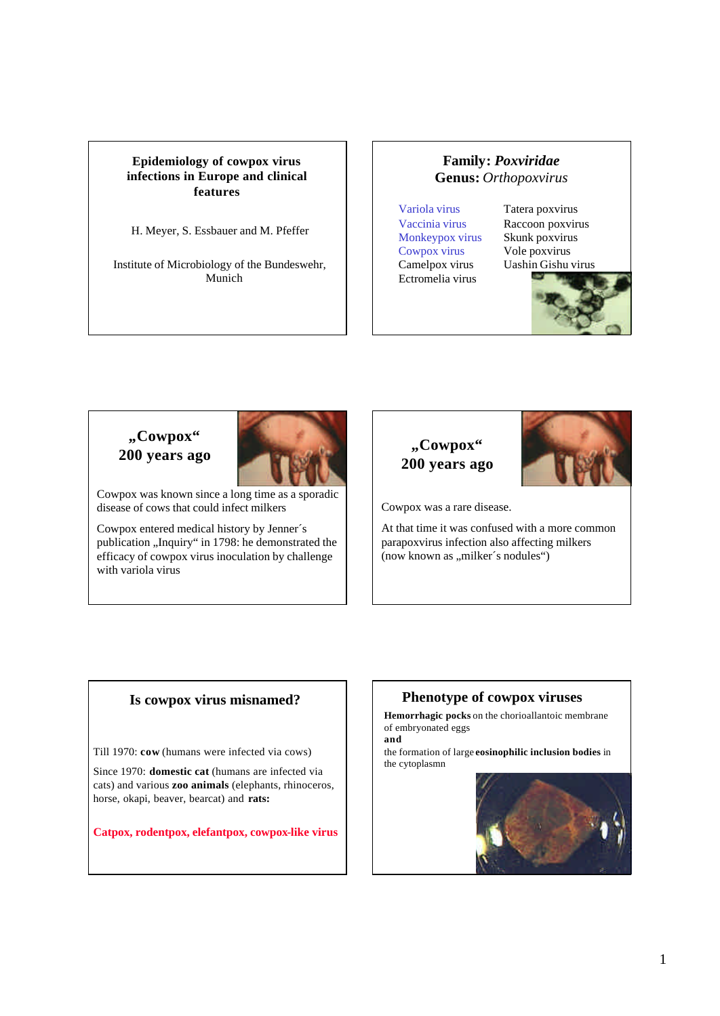# **Epidemiology of cowpox virus infections in Europe and clinical features**

H. Meyer, S. Essbauer and M. Pfeffer

Institute of Microbiology of the Bundeswehr, Munich

# **Family:** *Poxviridae* **Genus:** *Orthopoxvirus*

Variola virus Tatera poxvirus Monkeypox virus Skunk poxvirus Cowpox virus Vole poxvirus Ectromelia virus

Vaccinia virus Raccoon poxvirus Camelpox virus Uashin Gishu virus



# **"Cowpox" 200 years ago**



Cowpox was known since a long time as a sporadic disease of cows that could infect milkers

Cowpox entered medical history by Jenner´s publication "Inquiry" in 1798: he demonstrated the efficacy of cowpox virus inoculation by challenge with variola virus





Cowpox was a rare disease.

At that time it was confused with a more common parapoxvirus infection also affecting milkers (now known as "milker's nodules")

# **Is cowpox virus misnamed?**

Till 1970: **cow** (humans were infected via cows)

Since 1970: **domestic cat** (humans are infected via cats) and various **zoo animals** (elephants, rhinoceros, horse, okapi, beaver, bearcat) and **rats:**

**Catpox, rodentpox, elefantpox, cowpox-like virus**

# **Phenotype of cowpox viruses**

**Hemorrhagic pocks** on the chorioallantoic membrane of embryonated eggs **and**

the formation of large **eosinophilic inclusion bodies** in the cytoplasmn

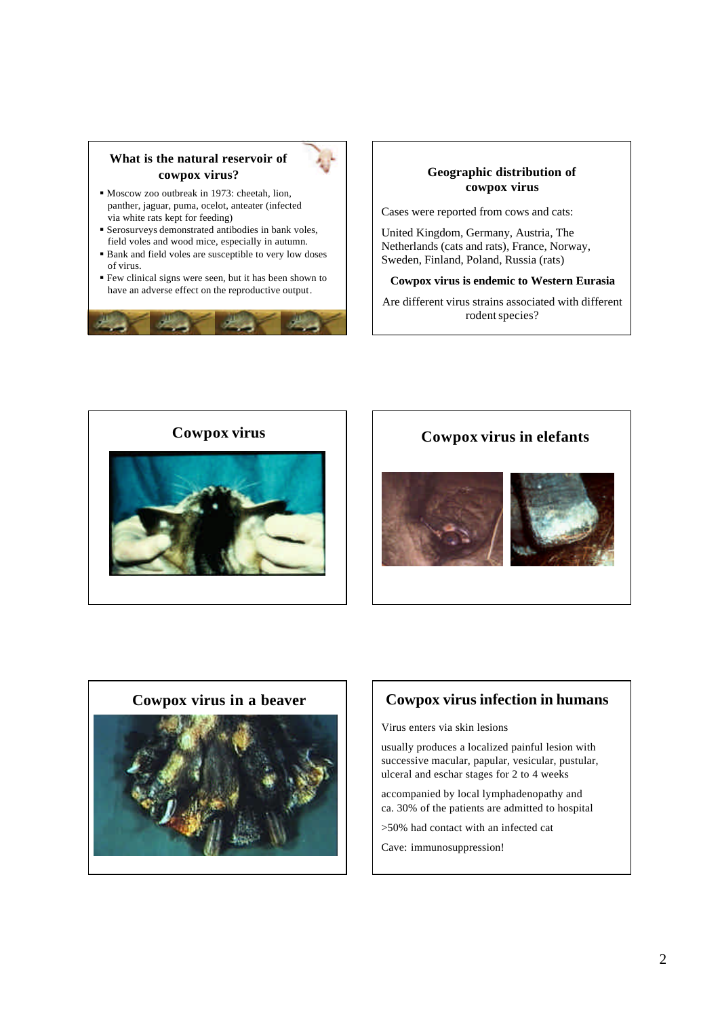# **What is the natural reservoir of cowpox virus?**

- ß Moscow zoo outbreak in 1973: cheetah, lion, panther, jaguar, puma, ocelot, anteater (infected via white rats kept for feeding)
- **Serosurveys demonstrated antibodies in bank voles,** field voles and wood mice, especially in autumn.
- ß Bank and field voles are susceptible to very low doses of virus.
- ß Few clinical signs were seen, but it has been shown to have an adverse effect on the reproductive output.



## **Geographic distribution of cowpox virus**

Cases were reported from cows and cats:

United Kingdom, Germany, Austria, The Netherlands (cats and rats), France, Norway, Sweden, Finland, Poland, Russia (rats)

### **Cowpox virus is endemic to Western Eurasia**

Are different virus strains associated with different rodent species?











# **Cowpox virus in a beaver**  $\vert$  **cowpox virus infection in humans**

Virus enters via skin lesions

usually produces a localized painful lesion with successive macular, papular, vesicular, pustular, ulceral and eschar stages for 2 to 4 weeks

accompanied by local lymphadenopathy and ca. 30% of the patients are admitted to hospital

>50% had contact with an infected cat

Cave: immunosuppression!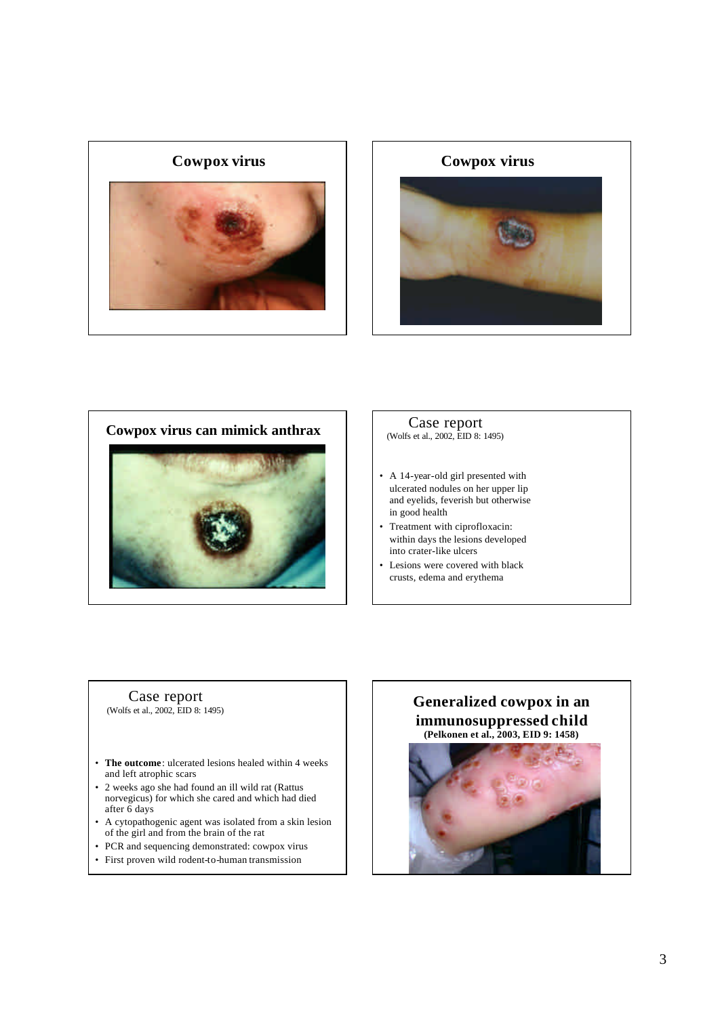





# Case report<br>(Wolfs et al., 2002, EID 8: 1495)

- A 14-year-old girl presented with ulcerated nodules on her upper lip and eyelids, feverish but otherwise in good health
- Treatment with ciprofloxacin: within days the lesions developed into crater-like ulcers
- Lesions were covered with black crusts, edema and erythema

### Case report (Wolfs et al., 2002, EID 8: 1495)

- **The outcome**: ulcerated lesions healed within 4 weeks and left atrophic scars
- 2 weeks ago she had found an ill wild rat (Rattus norvegicus) for which she cared and which had died after 6 days
- A cytopathogenic agent was isolated from a skin lesion of the girl and from the brain of the rat
- PCR and sequencing demonstrated: cowpox virus
- First proven wild rodent-to-human transmission

# **Generalized cowpox in an immunosuppressed child (Pelkonen et al., 2003, EID 9: 1458)**